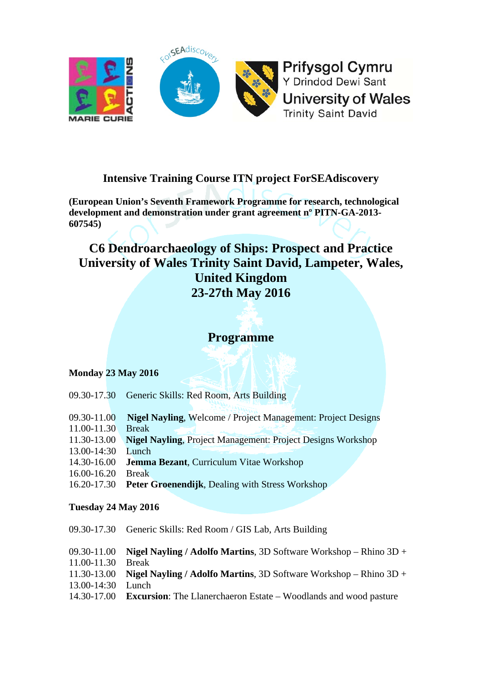

# **Intensive Training Course ITN project ForSEAdiscovery**

**(European Union's Seventh Framework Programme for research, technological development and demonstration under grant agreement nº PITN-GA-2013- 607545)** 

# **C6 Dendroarchaeology of Ships: Prospect and Practice University of Wales Trinity Saint David, Lampeter, Wales, United Kingdom 23-27th May 2016**

# **Programme**

# **Monday 23 May 2016**

| 09.30-17.30         | Generic Skills: Red Room, Arts Building                             |  |
|---------------------|---------------------------------------------------------------------|--|
|                     |                                                                     |  |
| 09.30-11.00         | <b>Nigel Nayling, Welcome / Project Management: Project Designs</b> |  |
| 11.00-11.30         | <b>Break</b>                                                        |  |
| 11.30-13.00         | <b>Nigel Nayling, Project Management: Project Designs Workshop</b>  |  |
| 13.00-14:30         | Lunch                                                               |  |
| 14.30-16.00         | <b>Jemma Bezant, Curriculum Vitae Workshop</b>                      |  |
| 16.00-16.20         | <b>Break</b>                                                        |  |
| 16.20-17.30         | <b>Peter Groenendijk, Dealing with Stress Workshop</b>              |  |
|                     |                                                                     |  |
| Tuesday 24 May 2016 |                                                                     |  |
|                     |                                                                     |  |
| 09.30-17.30         | Generic Skills: Red Room / GIS Lab, Arts Building                   |  |

|                   | 09.30-11.00 Nigel Nayling / Adolfo Martins, 3D Software Workshop – Rhino $3D +$     |
|-------------------|-------------------------------------------------------------------------------------|
| 11.00-11.30 Break |                                                                                     |
|                   | 11.30-13.00 Nigel Nayling / Adolfo Martins, 3D Software Workshop – Rhino $3D +$     |
| 13.00-14:30 Lunch |                                                                                     |
|                   | 14.30-17.00 <b>Excursion:</b> The Llanerchaeron Estate – Woodlands and wood pasture |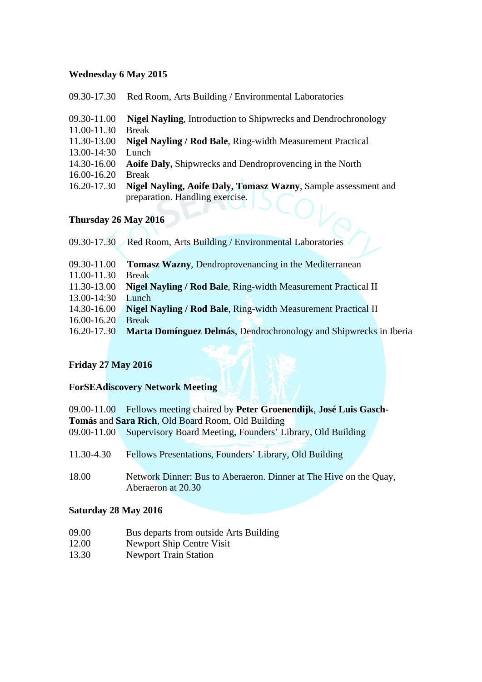### **Wednesday 6 May 2015**

| 09.30-11.00       | <b>Nigel Nayling, Introduction to Shipwrecks and Dendrochronology</b>  |
|-------------------|------------------------------------------------------------------------|
| 11.00-11.30       | <b>Break</b>                                                           |
|                   | 11.30-13.00 Nigel Nayling / Rod Bale, Ring-width Measurement Practical |
| 13.00-14:30 Lunch |                                                                        |
|                   | 14.30-16.00 Aoife Daly, Shipwrecks and Dendroprovencing in the North   |
| 16.00-16.20 Break |                                                                        |

09.30-17.30 Red Room, Arts Building / Environmental Laboratories

16.20-17.30 **Nigel Nayling, Aoife Daly, Tomasz Wazny**, Sample assessment and preparation. Handling exercise.

# **Thursday 26 May 2016**

| Red Room, Arts Building / Environmental Laboratories              |
|-------------------------------------------------------------------|
|                                                                   |
| <b>Tomasz Wazny, Dendroprovenancing in the Mediterranean</b>      |
| <b>Break</b>                                                      |
| Nigel Nayling / Rod Bale, Ring-width Measurement Practical II     |
| Lunch                                                             |
| Nigel Nayling / Rod Bale, Ring-width Measurement Practical II     |
| <b>Break</b>                                                      |
| Marta Domínguez Delmás, Dendrochronology and Shipwrecks in Iberia |
|                                                                   |

# **Friday 27 May 2016**

# **ForSEAdiscovery Network Meeting**

09.00-11.00 Fellows meeting chaired by **Peter Groenendijk**, **José Luis Gasch-Tomás** and **Sara Rich**, Old Board Room, Old Building 09.00-11.00 Supervisory Board Meeting, Founders' Library, Old Building

| Fellows Presentations, Founders' Library, Old Building |
|--------------------------------------------------------|
|                                                        |

18.00 Network Dinner: Bus to Aberaeron. Dinner at The Hive on the Quay, Aberaeron at 20.30

### **Saturday 28 May 2016**

- 09.00 Bus departs from outside Arts Building
- 12.00 Newport Ship Centre Visit
- 13.30 Newport Train Station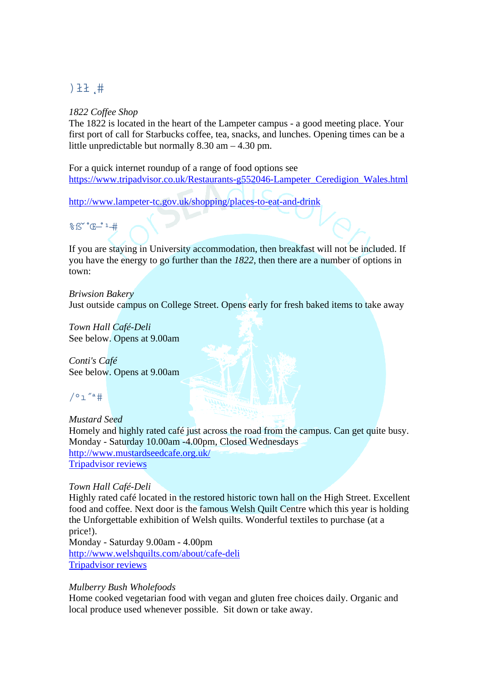# $1.1$

### *1822 Coffee Shop*

The 1822 is located in the heart of the Lampeter campus - a good meeting place. Your first port of call for Starbucks coffee, tea, snacks, and lunches. Opening times can be a little unpredictable but normally 8.30 am – 4.30 pm.

For a quick internet roundup of a range of food options see [https://www.tripadvisor.co.uk/Restaurants-g552046-Lampeter\\_Ceredigion\\_Wales.html](https://www.tripadvisor.co.uk/Restaurants-g552046-Lampeter_Ceredigion_Wales.html)

<http://www.lampeter-tc.gov.uk/shopping/places-to-eat-and-drink>

%ß"C-1#

If you are staying in University accommodation, then breakfast will not be included. If you have the energy to go further than the *1822*, then there are a number of options in town:

*Briwsion Bakery*  Just outside campus on College Street. Opens early for fresh baked items to take away

*Town Hall Café-Deli*  See below. Opens at 9.00am

*Conti's Café*  See below. Opens at 9.00am

 $/°1$  "a #

*Mustard Seed*  Homely and highly rated café just across the road from the campus. Can get quite busy. Monday - Saturday 10.00am -4.00pm, Closed Wednesdays <http://www.mustardseedcafe.org.uk/> [Tripadvisor reviews](https://www.tripadvisor.co.uk/Restaurant_Review-g552046-d785411-Reviews-Mustard_Seed-Lampeter_Ceredigion_Wales.html)

# *Town Hall Café-Deli*

Highly rated café located in the restored historic town hall on the High Street. Excellent food and coffee. Next door is the famous Welsh Quilt Centre which this year is holding the Unforgettable exhibition of Welsh quilts. Wonderful textiles to purchase (at a price!). Monday - Saturday 9.00am - 4.00pm

<http://www.welshquilts.com/about/cafe-deli> [Tripadvisor reviews](https://www.tripadvisor.co.uk/Restaurant_Review-g552046-d3392805-Reviews-Town_Hall_Cafe_Deli-Lampeter_Ceredigion_Wales.html)

# *Mulberry Bush Wholefoods*

Home cooked vegetarian food with vegan and gluten free choices daily. Organic and local produce used whenever possible. Sit down or take away.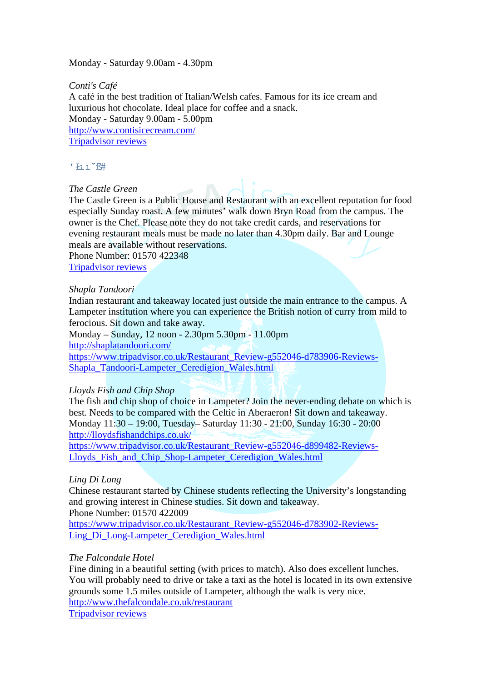### Monday - Saturday 9.00am - 4.30pm

*Conti's Café*  A café in the best tradition of Italian/Welsh cafes. Famous for its ice cream and luxurious hot chocolate. Ideal place for coffee and a snack. Monday - Saturday 9.00am - 5.00pm <http://www.contisicecream.com/> [Tripadvisor reviews](https://www.tripadvisor.co.uk/Restaurant_Review-g552046-d783887-Reviews-Conti_s_Cafe-Lampeter_Ceredigion_Wales.html)

 $'$  F1  $\gamma$ <sup> $\gamma$ </sup> $\beta$ #

### *The Castle Green*

The Castle Green is a Public House and Restaurant with an excellent reputation for food especially Sunday roast. A few minutes' walk down Bryn Road from the campus. The owner is the Chef. Please note they do not take credit cards, and reservations for evening restaurant meals must be made no later than 4.30pm daily. Bar and Lounge meals are available without reservations.

Phone Number: 01570 422348 [Tripadvisor reviews](https://www.tripadvisor.co.uk/Restaurant_Review-g552046-d3347177-Reviews-Castle_Green-Lampeter_Ceredigion_Wales.html)

### *Shapla Tandoori*

Indian restaurant and takeaway located just outside the main entrance to the campus. A Lampeter institution where you can experience the British notion of curry from mild to ferocious. Sit down and take away.

Monday – Sunday, 12 noon - 2.30pm 5.30pm - 11.00pm <http://shaplatandoori.com/> [https://www.tripadvisor.co.uk/Restaurant\\_Review-g552046-d783906-Reviews-](https://www.tripadvisor.co.uk/Restaurant_Review-g552046-d783906-Reviews-Shapla_Tandoori-Lampeter_Ceredigion_Wales.html)[Shapla\\_Tandoori-Lampeter\\_Ceredigion\\_Wales.html](https://www.tripadvisor.co.uk/Restaurant_Review-g552046-d783906-Reviews-Shapla_Tandoori-Lampeter_Ceredigion_Wales.html)

### *Lloyds Fish and Chip Shop*

The fish and chip shop of choice in Lampeter? Join the never-ending debate on which is best. Needs to be compared with the Celtic in Aberaeron! Sit down and takeaway. Monday 11:30 – 19:00, Tuesday– Saturday 11:30 - 21:00, Sunday 16:30 - 20:00 <http://lloydsfishandchips.co.uk/> [https://www.tripadvisor.co.uk/Restaurant\\_Review-g552046-d899482-Reviews-](https://www.tripadvisor.co.uk/Restaurant_Review-g552046-d899482-Reviews-Lloyds_Fish_and_Chip_Shop-Lampeter_Ceredigion_Wales.html)

[Lloyds\\_Fish\\_and\\_Chip\\_Shop-Lampeter\\_Ceredigion\\_Wales.html](https://www.tripadvisor.co.uk/Restaurant_Review-g552046-d899482-Reviews-Lloyds_Fish_and_Chip_Shop-Lampeter_Ceredigion_Wales.html)

### *Ling Di Long*

Chinese restaurant started by Chinese students reflecting the University's longstanding and growing interest in Chinese studies. Sit down and takeaway. Phone Number: 01570 422009

[https://www.tripadvisor.co.uk/Restaurant\\_Review-g552046-d783902-Reviews-](https://www.tripadvisor.co.uk/Restaurant_Review-g552046-d783902-Reviews-Ling_Di_Long-Lampeter_Ceredigion_Wales.html)[Ling\\_Di\\_Long-Lampeter\\_Ceredigion\\_Wales.html](https://www.tripadvisor.co.uk/Restaurant_Review-g552046-d783902-Reviews-Ling_Di_Long-Lampeter_Ceredigion_Wales.html)

### *The Falcondale Hotel*

Fine dining in a beautiful setting (with prices to match). Also does excellent lunches. You will probably need to drive or take a taxi as the hotel is located in its own extensive grounds some 1.5 miles outside of Lampeter, although the walk is very nice. <http://www.thefalcondale.co.uk/restaurant> [Tripadvisor reviews](https://www.tripadvisor.co.uk/Restaurant_Review-g552046-d785414-Reviews-The_Falcondale_Restaurant-Lampeter_Ceredigion_Wales.html)